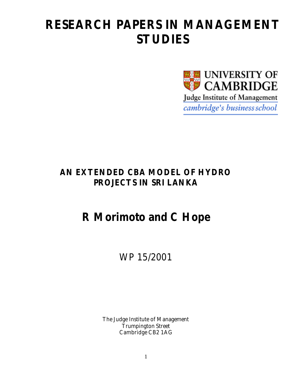# **RESEARCH PAPERS IN MANAGEMENT STUDIES**



## **AN EXTENDED CBA MODEL OF HYDRO PROJECTS IN SRI LANKA**

## **R Morimoto and C Hope**

## WP 15/2001

The Judge Institute of Management Trumpington Street Cambridge CB2 1AG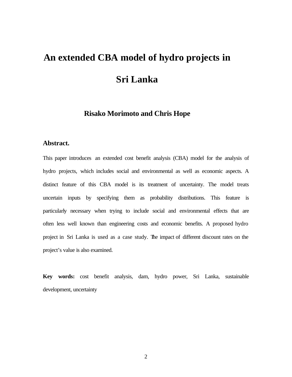# **An extended CBA model of hydro projects in Sri Lanka**

## **Risako Morimoto and Chris Hope**

#### **Abstract.**

This paper introduces an extended cost benefit analysis (CBA) model for the analysis of hydro projects, which includes social and environmental as well as economic aspects. A distinct feature of this CBA model is its treatment of uncertainty. The model treats uncertain inputs by specifying them as probability distributions. This feature is particularly necessary when trying to include social and environmental effects that are often less well known than engineering costs and economic benefits. A proposed hydro project in Sri Lanka is used as a case study. The impact of different discount rates on the project's value is also examined.

**Key words:** cost benefit analysis, dam, hydro power, Sri Lanka, sustainable development, uncertainty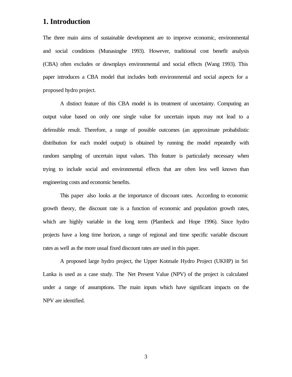## **1. Introduction**

The three main aims of sustainable development are to improve economic, environmental and social conditions (Munasinghe 1993). However, traditional cost benefit analysis (CBA) often excludes or downplays environmental and social effects (Wang 1993). This paper introduces a CBA model that includes both environmental and social aspects for a proposed hydro project.

A distinct feature of this CBA model is its treatment of uncertainty. Computing an output value based on only one single value for uncertain inputs may not lead to a defensible result. Therefore, a range of possible outcomes (an approximate probabilistic distribution for each model output) is obtained by running the model repeatedly with random sampling of uncertain input values. This feature is particularly necessary when trying to include social and environmental effects that are often less well known than engineering costs and economic benefits.

This paper also looks at the importance of discount rates. According to economic growth theory, the discount rate is a function of economic and population growth rates, which are highly variable in the long term (Plambeck and Hope 1996). Since hydro projects have a long time horizon, a range of regional and time specific variable discount rates as well as the more usual fixed discount rates are used in this paper.

A proposed large hydro project, the Upper Kotmale Hydro Project (UKHP) in Sri Lanka is used as a case study. The Net Present Value (NPV) of the project is calculated under a range of assumptions. The main inputs which have significant impacts on the NPV are identified.

3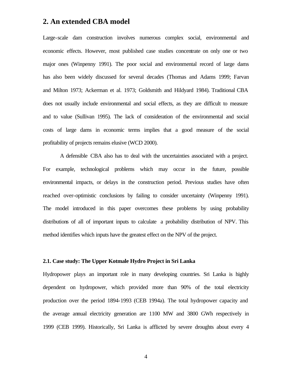### **2. An extended CBA model**

Large-scale dam construction involves numerous complex social, environmental and economic effects. However, most published case studies concentrate on only one or two major ones (Winpenny 1991). The poor social and environmental record of large dams has also been widely discussed for several decades (Thomas and Adams 1999; Farvan and Milton 1973; Ackerman et al. 1973; Goldsmith and Hildyard 1984). Traditional CBA does not usually include environmental and social effects, as they are difficult to measure and to value (Sullivan 1995). The lack of consideration of the environmental and social costs of large dams in economic terms implies that a good measure of the social profitability of projects remains elusive (WCD 2000).

A defensible CBA also has to deal with the uncertainties associated with a project. For example, technological problems which may occur in the future, possible environmental impacts, or delays in the construction period. Previous studies have often reached over-optimistic conclusions by failing to consider uncertainty (Winpenny 1991). The model introduced in this paper overcomes these problems by using probability distributions of all of important inputs to calculate a probability distribution of NPV. This method identifies which inputs have the greatest effect on the NPV of the project.

#### **2.1. Case study: The Upper Kotmale Hydro Project in Sri Lanka**

Hydropower plays an important role in many developing countries. Sri Lanka is highly dependent on hydropower, which provided more than 90% of the total electricity production over the period 1894-1993 (CEB 1994a). The total hydropower capacity and the average annual electricity generation are 1100 MW and 3800 GWh respectively in 1999 (CEB 1999). Historically, Sri Lanka is afflicted by severe droughts about every 4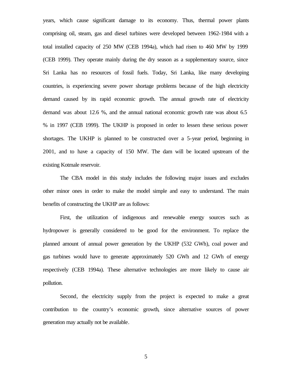years, which cause significant damage to its economy. Thus, thermal power plants comprising oil, steam, gas and diesel turbines were developed between 1962-1984 with a total installed capacity of 250 MW (CEB 1994a), which had risen to 460 MW by 1999 (CEB 1999). They operate mainly during the dry season as a supplementary source, since Sri Lanka has no resources of fossil fuels. Today, Sri Lanka, like many developing countries, is experiencing severe power shortage problems because of the high electricity demand caused by its rapid economic growth. The annual growth rate of electricity demand was about 12.6 %, and the annual national economic growth rate was about 6.5 % in 1997 (CEB 1999). The UKHP is proposed in order to lessen these serious power shortages. The UKHP is planned to be constructed over a 5-year period, beginning in 2001, and to have a capacity of 150 MW. The dam will be located upstream of the existing Kotmale reservoir.

The CBA model in this study includes the following major issues and excludes other minor ones in order to make the model simple and easy to understand. The main benefits of constructing the UKHP are as follows:

First, the utilization of indigenous and renewable energy sources such as hydropower is generally considered to be good for the environment. To replace the planned amount of annual power generation by the UKHP (532 GWh), coal power and gas turbines would have to generate approximately 520 GWh and 12 GWh of energy respectively (CEB 1994a). These alternative technologies are more likely to cause air pollution.

Second, the electricity supply from the project is expected to make a great contribution to the country's economic growth, since alternative sources of power generation may actually not be available.

5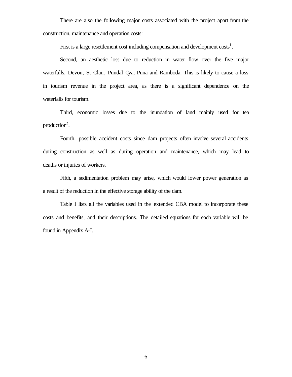There are also the following major costs associated with the project apart from the construction, maintenance and operation costs:

First is a large resettlement cost including compensation and development  $costs<sup>1</sup>$ .

Second, an aesthetic loss due to reduction in water flow over the five major waterfalls, Devon, St Clair, Pundal Oya, Puna and Ramboda. This is likely to cause a loss in tourism revenue in the project area, as there is a significant dependence on the waterfalls for tourism.

Third, economic losses due to the inundation of land mainly used for tea production $2$ .

Fourth, possible accident costs since dam projects often involve several accidents during construction as well as during operation and maintenance, which may lead to deaths or injuries of workers.

Fifth, a sedimentation problem may arise, which would lower power generation as a result of the reduction in the effective storage ability of the dam.

Table I lists all the variables used in the extended CBA model to incorporate these costs and benefits, and their descriptions. The detailed equations for each variable will be found in Appendix A-I.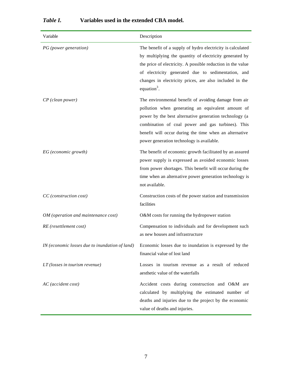### *Table I.* **Variables used in the extended CBA model.**

| Variable                                       | Description                                                                                                                                                                                                                                                                                                                      |
|------------------------------------------------|----------------------------------------------------------------------------------------------------------------------------------------------------------------------------------------------------------------------------------------------------------------------------------------------------------------------------------|
| PG (power generation)                          | The benefit of a supply of hydro electricity is calculated<br>by multiplying the quantity of electricity generated by<br>the price of electricity. A possible reduction in the value<br>of electricity generated due to sedimentation, and<br>changes in electricity prices, are also included in the<br>equation <sup>3</sup> . |
| CP (clean power)                               | The environmental benefit of avoiding damage from air<br>pollution when generating an equivalent amount of<br>power by the best alternative generation technology (a<br>combination of coal power and gas turbines). This<br>benefit will occur during the time when an alternative<br>power generation technology is available. |
| EG (economic growth)                           | The benefit of economic growth facilitated by an assured<br>power supply is expressed as avoided economic losses<br>from power shortages. This benefit will occur during the<br>time when an alternative power generation technology is<br>not available.                                                                        |
| CC (construction cost)                         | Construction costs of the power station and transmission<br>facilities                                                                                                                                                                                                                                                           |
| OM (operation and maintenance cost)            | O&M costs for running the hydropower station                                                                                                                                                                                                                                                                                     |
| RE (resettlement cost)                         | Compensation to individuals and for development such<br>as new houses and infrastructure                                                                                                                                                                                                                                         |
| IN (economic losses due to inundation of land) | Economic losses due to inundation is expressed by the<br>financial value of lost land                                                                                                                                                                                                                                            |
| $LT$ (losses in tourism revenue)               | Losses in tourism revenue as a result of reduced<br>aesthetic value of the waterfalls                                                                                                                                                                                                                                            |
| AC (accident cost)                             | Accident costs during construction and O&M are<br>calculated by multiplying the estimated number of<br>deaths and injuries due to the project by the economic<br>value of deaths and injuries.                                                                                                                                   |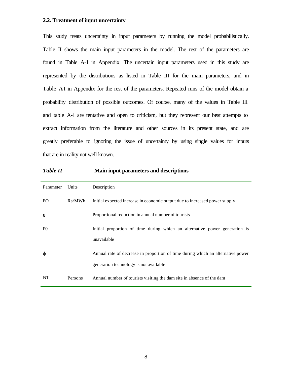#### **2.2. Treatment of input uncertainty**

This study treats uncertainty in input parameters by running the model probabilistically. Table II shows the main input parameters in the model. The rest of the parameters are found in Table A-I in Appendix. The uncertain input parameters used in this study are represented by the distributions as listed in Table III for the main parameters, and in Table AI in Appendix for the rest of the parameters. Repeated runs of the model obtain a probability distribution of possible outcomes. Of course, many of the values in Table III and table A-I are tentative and open to criticism, but they represent our best attempts to extract information from the literature and other sources in its present state, and are greatly preferable to ignoring the issue of uncertainty by using single values for inputs that are in reality not well known.

*Table II* **Main input parameters and descriptions**

| Parameter      | Units   | Description                                                                                                               |
|----------------|---------|---------------------------------------------------------------------------------------------------------------------------|
| EO             | Rs/MWh  | Initial expected increase in economic output due to increased power supply                                                |
| ε              |         | Proportional reduction in annual number of tourists                                                                       |
| P <sub>0</sub> |         | Initial proportion of time during which an alternative power generation is<br>unavailable                                 |
| φ              |         | Annual rate of decrease in proportion of time during which an alternative power<br>generation technology is not available |
| NT             | Persons | Annual number of tourists visiting the dam site in absence of the dam                                                     |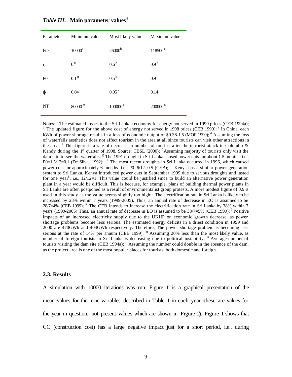| Parameter <sup>5</sup> | Minimum value      | Most likely value   | Maximum value         |
|------------------------|--------------------|---------------------|-----------------------|
| <b>EO</b>              | $10000^a$          | 26000 <sup>b</sup>  | $118500^{\circ}$      |
| ε                      | 0 <sup>d</sup>     | 0.6 <sup>e</sup>    | 0.9 <sup>f</sup>      |
| P <sub>0</sub>         | 0.1 <sup>g</sup>   | $0.5^{\rm h}$       | $0.9^{\mathrm{i}}$    |
| φ                      | $0.04^{j}$         | $0.05^{\rm k}$      | $0.14^{1}$            |
| <b>NT</b>              | 80000 <sup>m</sup> | 100000 <sup>n</sup> | $200000$ <sup>o</sup> |

*Table III***.****Main parameter values<sup>4</sup>**

Notes: <sup>a</sup> The estimated losses to the Sri Lankan economy for energy not served in 1990 prices (CEB 1994a); <sup>b</sup> The updated figure for the above cost of energy not served in 1998 prices (CEB 1999);  $\textdegree$  In China, each kWh of power shortage results in a loss of economic output of \$0.38-1.5 (MOF 1990);  $\textsuperscript{d}$  Assuming the loss of waterfalls aesthetics does not affect tourism in the area at all since tourists can visit other attractions in the area;  $e$  This figure is a rate of decrease in number of tourists after the terrorist attack in Colombo  $\&$ Kandy during the 1<sup>st</sup> quarter of 1998. Source: CBSL (2000); <sup>f</sup> Assuming majority of tourists only visit the dam site to see the waterfalls; <sup>g</sup> The 1991 drought in Sri Lanka caused power cuts for about 1.5 months. i.e., P0=1.5/12=0.1 (De Silva 1992);  $^h$  The most recent droughts in Sri Lanka occurred in 1996, which caused power cuts for approximately 6 months. i.e., P0=6/12=0.5 (CEB); <sup>i</sup> Kenya has a similar power generation system to Sri Lanka. Kenya introduced power cuts in September 1999 due to serious droughts and lasted for one year<sup>6</sup>. i.e., 12/12=1. This value could be justified since to build an alternative power generation plant in a year would be difficult. This is because, for example, plans of building thermal power plants in Sri Lanka are often postponed as a result of environmentalist group protests. A more modest figure of 0.9 is used in this study as the value seems slightly too high; <sup>j</sup> The electrification rate in Sri Lanka is likely to be increased by 28% within 7 years (1999-2005). Thus, an annual rate of decrease in EO is assumed to be  $28/7=4\%$  (CEB 1999); <sup>k</sup> The CEB intends to increase the electrification rate in Sri Lanka by 38% within 7 years (1999-2005) Thus, an annual rate of decrease in EO is assumed to be  $38/7=5\%$  (CEB 1999); <sup>1</sup> Positive impacts of an increased electricity supply due to the UKHP on economic growth decrease, as power shortage problems become less serious. The estimated energy deficits in a driest condition in 1999 and 2000 are 470GWh and 404GWh respectively. Therefore, The power shortage problem is becoming less serious at the rate of 14% per annum (CEB 1999);  $<sup>m</sup>$  Assuming 20% less than the most likely value, as</sup> number of foreign tourists in Sri Lanka is decreasing due to political instability; <sup>n</sup> Average number of tourists visiting the dam site (CEB 1994a); <sup>o</sup> Assuming the number could double in the absence of the dam, as the project area is one of the most popular places for tourists, both domestic and foreign.

#### **2.3. Results**

A simulation with 10000 iterations was run. Figure 1 is a graphical presentation of the mean values for the nine variables described in Table I in each year (these are values for the year in question, not present values which are shown in Figure 2). Figure 1 shows that CC (construction cost) has a large negative impact just for a short period, i.e., during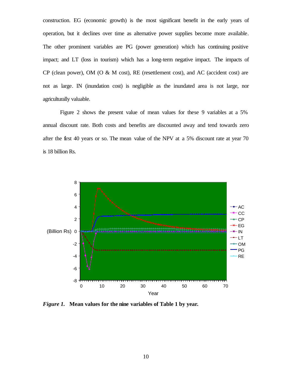construction. EG (economic growth) is the most significant benefit in the early years of operation, but it declines over time as alternative power supplies become more available. The other prominent variables are PG (power generation) which has continuing positive impact; and LT (loss in tourism) which has a long-term negative impact. The impacts of CP (clean power), OM (O & M cost), RE (resettlement cost), and AC (accident cost) are not as large. IN (inundation cost) is negligible as the inundated area is not large, nor agriculturally valuable.

Figure 2 shows the present value of mean values for these 9 variables at a 5% annual discount rate. Both costs and benefits are discounted away and tend towards zero after the first 40 years or so. The mean value of the NPV at a 5% discount rate at year 70 is 18 billion Rs.



*Figure 1.* **Mean values for the nine variables of Table 1 by year.**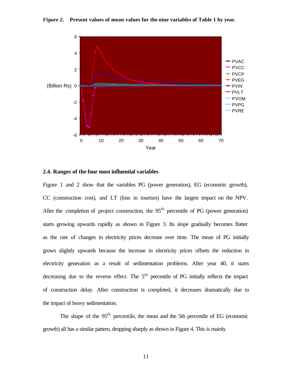*Figure 2.* **Present values of mean values for the nine variables of Table 1 by year.**



#### **2.4. Ranges of the four most influential variables**

Figure 1 and 2 show that the variables PG (power generation), EG (economic growth), CC (construction cost), and LT (loss in tourism) have the largest impact on the NPV. After the completion of project construction, the  $95<sup>th</sup>$  percentile of PG (power generation) starts growing upwards rapidly as shown in Figure 3. Its slope gradually becomes flatter as the rate of changes in electricity prices decrease over time. The mean of PG initially grows slightly upwards because the increase in electricity prices offsets the reduction in electricity generation as a result of sedimentation problems. After year 40, it starts decreasing due to the reverse effect. The  $5<sup>th</sup>$  percentile of PG initially reflects the impact of construction delay. After construction is completed, it decreases dramatically due to the impact of heavy sedimentation.

The shape of the 95<sup>th</sup> percentile, the mean and the 5th percentile of EG (economic growth) all has a similar pattern, dropping sharply as shown in Figure 4. This is mainly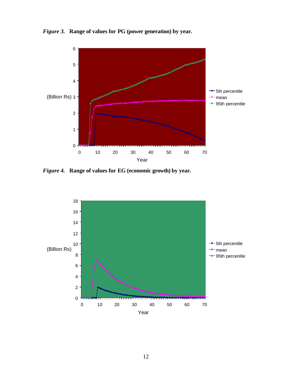*Figure 3.* **Range of values for PG (power generation) by year.**



*Figure 4.* **Range of values for EG (economic growth) by year.**

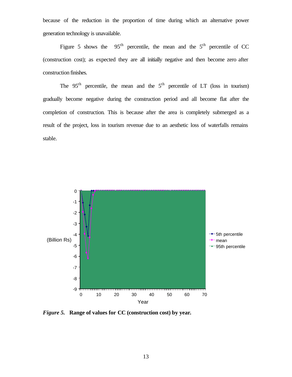because of the reduction in the proportion of time during which an alternative power generation technology is unavailable.

Figure 5 shows the  $95<sup>th</sup>$  percentile, the mean and the  $5<sup>th</sup>$  percentile of CC (construction cost); as expected they are all initially negative and then become zero after construction finishes.

The  $95<sup>th</sup>$  percentile, the mean and the  $5<sup>th</sup>$  percentile of LT (loss in tourism) gradually become negative during the construction period and all become flat after the completion of construction. This is because after the area is completely submerged as a result of the project, loss in tourism revenue due to an aesthetic loss of waterfalls remains stable.



*Figure 5.* **Range of values for CC (construction cost) by year.**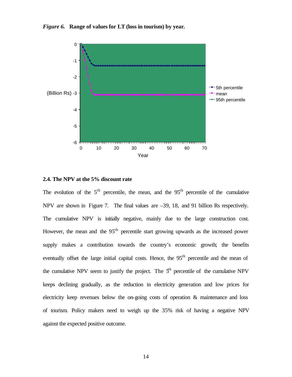



#### **2.4. The NPV at the 5% discount rate**

The evolution of the  $5<sup>th</sup>$  percentile, the mean, and the  $95<sup>th</sup>$  percentile of the cumulative NPV are shown in Figure 7. The final values are –39, 18, and 91 billion Rs respectively. The cumulative NPV is initially negative, mainly due to the large construction cost. However, the mean and the  $95<sup>th</sup>$  percentile start growing upwards as the increased power supply makes a contribution towards the country's economic growth; the benefits eventually offset the large initial capital costs. Hence, the 95<sup>th</sup> percentile and the mean of the cumulative NPV seem to justify the project. The  $5<sup>th</sup>$  percentile of the cumulative NPV keeps declining gradually, as the reduction in electricity generation and low prices for electricity keep revenues below the on-going costs of operation & maintenance and loss of tourism. Policy makers need to weigh up the 35% risk of having a negative NPV against the expected positive outcome.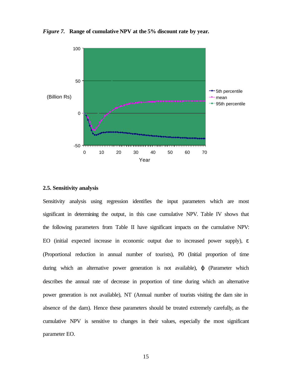

*Figure 7.* **Range of cumulative NPV at the 5% discount rate by year.**

#### **2.5. Sensitivity analysis**

Sensitivity analysis using regression identifies the input parameters which are most significant in determining the output, in this case cumulative NPV. Table IV shows that the following parameters from Table II have significant impacts on the cumulative NPV: EO (initial expected increase in economic output due to increased power supply), ε (Proportional reduction in annual number of tourists), P0 (Initial proportion of time during which an alternative power generation is not available), ϕ (Parameter which describes the annual rate of decrease in proportion of time during which an alternative power generation is not available), NT (Annual number of tourists visiting the dam site in absence of the dam). Hence these parameters should be treated extremely carefully, as the cumulative NPV is sensitive to changes in their values, especially the most significant parameter EO.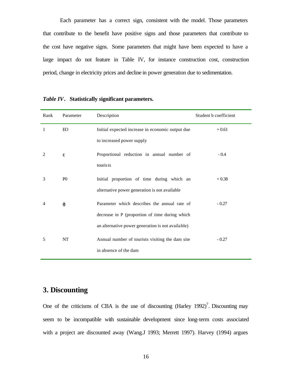Each parameter has a correct sign, consistent with the model. Those parameters that contribute to the benefit have positive signs and those parameters that contribute to the cost have negative signs. Some parameters that might have been expected to have a large impact do not feature in Table IV, for instance construction cost, construction period, change in electricity prices and decline in power generation due to sedimentation.

| Rank                        | Parameter      | Description                                       | Student b coefficient |
|-----------------------------|----------------|---------------------------------------------------|-----------------------|
| 1                           | <b>EO</b>      | Initial expected increase in economic output due  | $+0.61$               |
|                             |                | to increased power supply                         |                       |
| $\mathcal{D}_{\mathcal{L}}$ | ε              | Proportional reduction in annual number of        | $-0.4$                |
|                             |                | touris ts                                         |                       |
| 3                           | P <sub>0</sub> | Initial proportion of time during which an        | $+0.38$               |
|                             |                | alternative power generation is not available     |                       |
| $\overline{4}$              | φ              | Parameter which describes the annual rate of      | $-0.27$               |
|                             |                | decrease in P (proportion of time during which    |                       |
|                             |                | an alternative power generation is not available) |                       |
| 5                           | <b>NT</b>      | Annual number of tourists visiting the dam site   | $-0.27$               |
|                             |                | in absence of the dam                             |                       |

| Table IV. Statistically significant parameters. |  |
|-------------------------------------------------|--|
|                                                 |  |

## **3. Discounting**

One of the criticisms of CBA is the use of discounting  $(Harley 1992)^7$ . Discounting may seem to be incompatible with sustainable development since long-term costs associated with a project are discounted away (Wang.J 1993; Merrett 1997). Harvey (1994) argues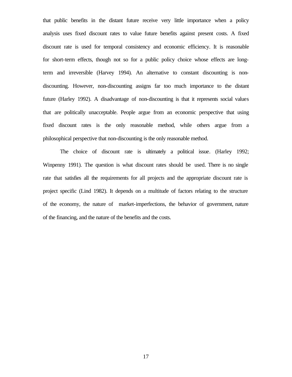that public benefits in the distant future receive very little importance when a policy analysis uses fixed discount rates to value future benefits against present costs. A fixed discount rate is used for temporal consistency and economic efficiency. It is reasonable for short-term effects, though not so for a public policy choice whose effects are longterm and irreversible (Harvey 1994). An alternative to constant discounting is nondiscounting. However, non-discounting assigns far too much importance to the distant future (Harley 1992). A disadvantage of non-discounting is that it represents social values that are politically unacceptable. People argue from an economic perspective that using fixed discount rates is the only reasonable method, while others argue from a philosophical perspective that non-discounting is the only reasonable method.

The choice of discount rate is ultimately a political issue. (Harley 1992; Winpenny 1991). The question is what discount rates should be used. There is no single rate that satisfies all the requirements for all projects and the appropriate discount rate is project specific (Lind 1982). It depends on a multitude of factors relating to the structure of the economy, the nature of market-imperfections, the behavior of government, nature of the financing, and the nature of the benefits and the costs.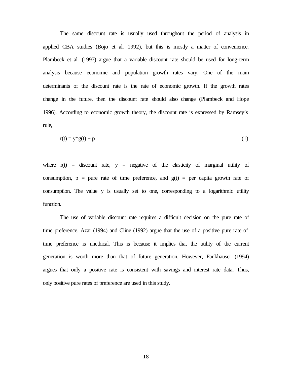The same discount rate is usually used throughout the period of analysis in applied CBA studies (Bojo et al. 1992), but this is mostly a matter of convenience. Plambeck et al. (1997) argue that a variable discount rate should be used for long-term analysis because economic and population growth rates vary. One of the main determinants of the discount rate is the rate of economic growth. If the growth rates change in the future, then the discount rate should also change (Plambeck and Hope 1996). According to economic growth theory, the discount rate is expressed by Ramsey's rule,

$$
r(t) = y^*g(t) + p \tag{1}
$$

where  $r(t)$  = discount rate,  $y$  = negative of the elasticity of marginal utility of consumption,  $p = pure$  rate of time preference, and  $g(t) = per$  capita growth rate of consumption. The value y is usually set to one, corresponding to a logarithmic utility function.

The use of variable discount rate requires a difficult decision on the pure rate of time preference. Azar (1994) and Cline (1992) argue that the use of a positive pure rate of time preference is unethical. This is because it implies that the utility of the current generation is worth more than that of future generation. However, Fankhauser (1994) argues that only a positive rate is consistent with savings and interest rate data. Thus, only positive pure rates of preference are used in this study.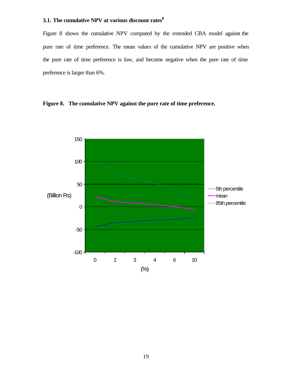## **3.1. The cumulative NPV at various discount rates<sup>8</sup>**

Figure 8 shows the cumulative NPV computed by the extended CBA model against the pure rate of time preference. The mean values of the cumulative NPV are positive when the pure rate of time preference is low, and become negative when the pure rate of time preference is larger than 6%.

**Figure 8. The cumulative NPV against the pure rate of time preference.**

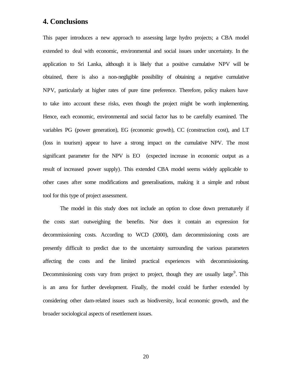### **4. Conclusions**

This paper introduces a new approach to assessing large hydro projects; a CBA model extended to deal with economic, environmental and social issues under uncertainty. In the application to Sri Lanka, although it is likely that a positive cumulative NPV will be obtained, there is also a non-negligible possibility of obtaining a negative cumulative NPV, particularly at higher rates of pure time preference. Therefore, policy makers have to take into account these risks, even though the project might be worth implementing. Hence, each economic, environmental and social factor has to be carefully examined. The variables PG (power generation), EG (economic growth), CC (construction cost), and LT (loss in tourism) appear to have a strong impact on the cumulative NPV. The most significant parameter for the NPV is EO (expected increase in economic output as a result of increased power supply). This extended CBA model seems widely applicable to other cases after some modifications and generalisations, making it a simple and robust tool for this type of project assessment.

The model in this study does not include an option to close down prematurely if the costs start outweighing the benefits. Nor does it contain an expression for decommissioning costs. According to WCD (2000), dam decommissioning costs are presently difficult to predict due to the uncertainty surrounding the various parameters affecting the costs and the limited practical experiences with decommissioning. Decommissioning costs vary from project to project, though they are usually large<sup>9</sup>. This is an area for further development. Finally, the model could be further extended by considering other dam-related issues such as biodiversity, local economic growth, and the broader sociological aspects of resettlement issues.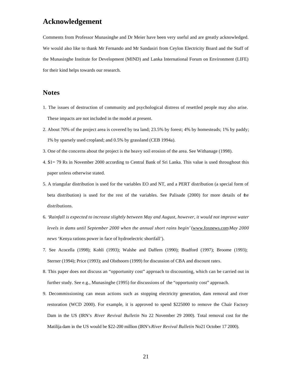## **Acknowledgement**

Comments from Professor Munasinghe and Dr Meier have been very useful and are greatly acknowledged. We would also like to thank Mr Fernando and Mr Sandasiri from Ceylon Electricity Board and the Staff of the Munasinghe Institute for Development (MIND) and Lanka International Forum on Environment (LIFE) for their kind helps towards our research.

#### **Notes**

- 1. The issues of destruction of community and psychological distress of resettled people may also arise. These impacts are not included in the model at present.
- 2. About 70% of the project area is covered by tea land; 23.5% by forest; 4% by homesteads; 1% by paddy; 1% by sparsely used cropland; and 0.5% by grassland (CEB 1994a).
- 3. One of the concerns about the project is the heavy soil erosion of the area. See Withanage (1998).
- 4. \$1= 79 Rs in November 2000 according to Central Bank of Sri Lanka. This value is used throughout this paper unless otherwise stated.
- 5. A triangular distribution is used for the variables EO and NT, and a PERT distribution (a special form of beta distribution) is used for the rest of the variables. See Palisade (2000) for more details of the distributions.
- 6. '*Rainfall is expected to increase slightly between May and August, however, it would not improve water levels in dams until September 2000 when the annual short rains begin'* (www.foxnews.com*May 2000 news* 'Kenya rations power in face of hydroelectric shortfall').
- 7. See Acocella (1998); Kohli (1993); Walshe and Daffern (1990); Bradford (1997); Broome (1993); Sterner (1994); Price (1993); and Olsthoorn (1999) for discussion of CBA and discount rates.
- 8. This paper does not discuss an "opportunity cost" approach to discounting, which can be carried out in further study. See e.g., Munasinghe (1995) for discussions of the "opportunity cost" approach.
- 9. Decommissioning can mean actions such as stopping electricity generation, dam removal and river restoration (WCD 2000). For example, it is approved to spend \$225000 to remove the Chair Factory Dam in the US (IRN's *River Revival Bulletin* No 22 November 29 2000). Total removal cost for the Matilija dam in the US would be \$22-200 million (IRN's *River Revival Bulletin* No21 October 17 2000).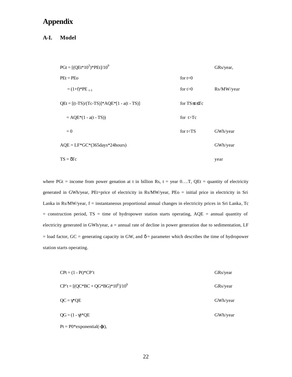## **Appendix**

#### **A-I. Model**

| $P\text{G}t = [(QEt*10^3)*PEt]/10^9$          |              | GRs/year,  |
|-----------------------------------------------|--------------|------------|
| $PEt = PEo$                                   | for $t=0$    |            |
| $=(1+f)^*PE_{t-1}$                            | for $t>0$    | Rs/MW/year |
| $QEt = [(t-TS)/(Tc-TS)]^* AQE^*[1 - a(t-TS)]$ | for TS≤t≤Tc  |            |
| $= AQE*(1 - a(t - TS))$                       | for $t > Tc$ |            |
| $= 0$                                         | for $t < TS$ | GWh/year   |
| $AQE = LF*GC*(365 days*24 hours)$             |              | GWh/year   |
| $TS = \delta Tc$                              |              | year       |

where PGt = income from power genation at t in billion Rs,  $t = year 0...T$ , QEt = quantity of electricity generated in GWh/year, PEt=price of electricity in Rs/MW/year, PEo = initial price in electricity in Sri Lanka in Rs/MW/year, f = instantaneous proportional annual changes in electricity prices in Sri Lanka, Tc = construction period, TS = time of hydropower station starts operating, AQE = annual quantity of electricity generated in GWh/year, a = annual rate of decline in power generation due to sedimentation, LF = load factor,  $GC$  = generating capacity in GW, and  $\delta$  = parameter which describes the time of hydropower station starts operating.

| $\text{CPt} = (1 - \text{Pt})^* \text{CP't}$ | GRs/year |
|----------------------------------------------|----------|
| $CP't = [(QC*BC + QG*BG)*10^6]/10^9$         | GRs/year |
| $QC = \gamma^*QE$                            | GWh/year |
| $QG = (1 - \gamma)^*QE$                      | GWh/year |
| $Pt = P0*exponential(-qt)$ ,                 |          |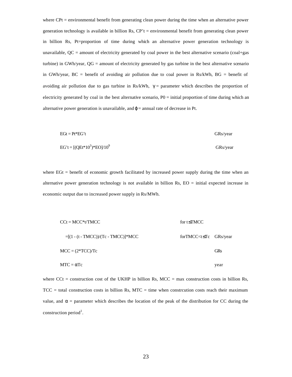where CPt = environmental benefit from generating clean power during the time when an alternative power generation technology is available in billion Rs,  $CP<sup>+</sup>$  = environmental benefit from generating clean power in billion Rs, Pt=proportion of time during which an alternative power generation technology is unavailable,  $QC =$  amount of electricity generated by coal power in the best alternative scenario (coal+gas turbine) in GWh/year,  $QG =$  amount of electricity generated by gas turbine in the best alternative scenario in GWh/year, BC = benefit of avoiding air pollution due to coal power in Rs/kWh, BG = benefit of avoiding air pollution due to gas turbine in Rs/kWh,  $\gamma$  = parameter which describes the proportion of electricity generated by coal in the best alternative scenario,  $P0 =$  initial proportion of time during which an alternative power generation is unavailable, and  $\varphi$  = annual rate of decrease in Pt.

$$
EGt = Pt*EGt (GRs/year)
$$
GRs/year  
EG<sup>t</sup> = [(QEt\*10<sup>3</sup>)\*EO]/10<sup>9</sup> (GRs/year)

where  $EGt = \text{benefit}$  of economic growth facilitated by increased power supply during the time when an alternative power generation technology is not available in billion Rs, EO = initial expected increase in economic output due to increased power supply in Rs/MWh.

| $CCt = MCC*t/TMCC$                       | for t $\leq TMCC$                 |            |
|------------------------------------------|-----------------------------------|------------|
| $=[(1 - (t - TMCC)) / (Tc - TMCC)]$ *MCC | forTMCC $lt$ t $\leq$ Tc GRs/year |            |
| $MCC = (2*TCC)/Tc$                       |                                   | <b>GRs</b> |
| $MTC = \alpha Tc$                        |                                   | vear       |

where  $Cct =$  construction cost of the UKHP in billion Rs, MCC = max construction costs in billion Rs,  $TCC =$  total construction costs in billion Rs,  $MTC =$  time when construction costs reach their maximum value, and  $\alpha$  = parameter which describes the location of the peak of the distribution for CC during the construction period<sup>1</sup>.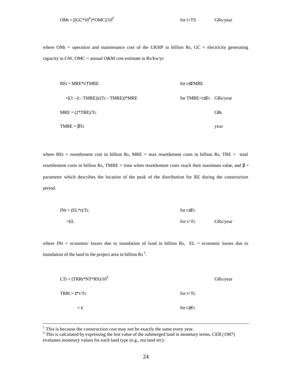where OMt = operation and maintenance cost of the UKHP in billion Rs,  $GC =$  electricity generating capacity in GW, OMC = annual O&M cost estimate in Rs/kw/yr

| $REt = MRE* t / TMRE$                     | for t $\leq$ TMRE                                     |            |
|-------------------------------------------|-------------------------------------------------------|------------|
| $= [(1 - (t - TIME)) / (Tc - TIME)]$ *MRE | for TMRE <t≤tc grs="" td="" year<=""><td></td></t≤tc> |            |
| $MRE = (2*TRE)/Tc$                        |                                                       | <b>GRs</b> |
| $TMRE = \beta Tc$                         |                                                       | year       |

where REt = resettlement cost in billion Rs,  $MRE = max$  resettlement costs in billion Rs, TRE = total resettlement costs in billion Rs, TMRE = time when resettlement costs reach their maximum value, and  $\beta$  = parameter which describes the location of the peak of the distribution for RE during the construction period.

$$
INt = (EL*t)/Tc
$$
 for t \leq Tc  
 
$$
= EL
$$
 for t > Tc  
 
$$
GRs/year
$$

where INt = economic losses due to inundation of land in billion Rs,  $EL =$  economic losses due to inundation of the land in the project area in billion Rs<sup>2</sup>.

| $LTt = (TRRt*NT*RS)/10^9$  | GRs/year        |
|----------------------------|-----------------|
| $TRRt = \varepsilon^*t/Tc$ | for $t < Tc$    |
| $=\varepsilon$             | for $t \geq Tc$ |

<sup>&</sup>lt;sup>1</sup> This is because the construction cost may not be exactly the same every year.<br><sup>2</sup> This is calculated by expressing the lost value of the submerged land in monetary terms. CEB (1987) evaluates monetary values for each land type (e.g., tea land etc).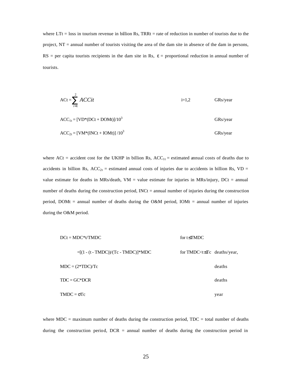where  $LTt =$  loss in tourism revenue in billion Rs, TRRt = rate of reduction in number of tourists due to the project, NT = annual number of tourists visiting the area of the dam site in absence of the dam in persons, RS = per capita tourists recipients in the dam site in Rs,  $\varepsilon$  = proportional reduction in annual number of tourists.

$$
ACt = \sum_{i=1}^{2} ACCit
$$
 i=1,2  $GRs/year$   

$$
ACC_{1t} = [VD*(DCt + DOMt)]/10^{3}
$$
 GRs/year  

$$
ACC_{2t} = [VM*(INCt + IOMt)]/10^{3}
$$
 GRs/year

where ACt = accident cost for the UKHP in billion Rs,  $ACC_{1t}$  = estimated annual costs of deaths due to accidents in billion Rs,  $ACC_{2t} =$  estimated annual costs of injuries due to accidents in billion Rs, VD = value estimate for deaths in MRs/death, VM = value estimate for injuries in MRs/injury, DCt = annual number of deaths during the construction period,  $INCt =$  annual number of injuries during the construction period, DOMt = annual number of deaths during the O&M period, IOMt = annual number of injuries during the O&M period.

|                    | $DCt = MDC* t/TMDC$                      | for $t \leq TMDC$                                         |        |
|--------------------|------------------------------------------|-----------------------------------------------------------|--------|
|                    | $=[(1 - (t - TMDC)) / (Tc - TMDC)]$ *MDC | for TMDC <t≤tc deaths="" td="" year,<=""><td></td></t≤tc> |        |
|                    | $MDC = (2*TDC)/Tc$                       |                                                           | deaths |
|                    | $TDC = GC*DCR$                           |                                                           | deaths |
| $TMDC = \sigma Tc$ |                                          |                                                           | year   |

where  $MDC =$  maximum number of deaths during the construction period,  $TDC =$  total number of deaths during the construction period,  $DCR =$  annual number of deaths during the construction period in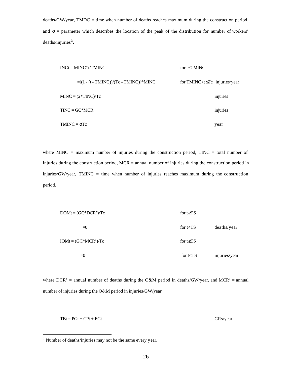deaths/GW/year, TMDC = time when number of deaths reaches maximum during the construction period, and  $\sigma$  = parameter which describes the location of the peak of the distribution for number of workers' deaths/injuries<sup>3</sup>.

| $INC* t/TMINC$                            | for t $\leq$ TMINC                       |          |
|-------------------------------------------|------------------------------------------|----------|
| $=[(1 - (t - TMINC))/(Tc - TMINC)]$ *MINC | for TMINC $lt$ t $\leq$ Tc injuries/year |          |
| $MINC = (2*TINC)/Tc$                      |                                          | injuries |
| $TINC = GC^*MCR$                          |                                          | injuries |
| $TMINC = \sigma Tc$                       |                                          | year     |

where MINC = maximum number of injuries during the construction period,  $TINC = total$  number of injuries during the construction period, MCR = annual number of injuries during the construction period in injuries/GW/year, TMINC = time when number of injuries reaches maximum during the construction period.

| $DOMt = (GC*DCR')/Tc$   | for $t \geq TS$ |               |
|-------------------------|-----------------|---------------|
| $=0$                    | for $t < TS$    | deaths/year   |
| $IOMt = (GC * MCR')/Tc$ | for $t \geq TS$ |               |
| $=0$                    | for $t < TS$    | injuries/year |

where  $DCR'$  = annual number of deaths during the O&M period in deaths/GW/year, and MCR' = annual number of injuries during the O&M period in injuries/GW/year

 $TBt = PGt + CPt + EGt$  GRs/year

 $\overline{a}$ 

 $3$  Number of deaths/injuries may not be the same every year.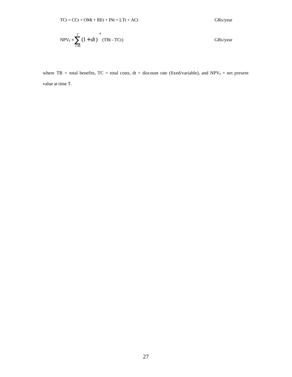$$
NPV_T = \sum_{t=0}^{T} (1 + dt) \int_{0}^{-t} (T B t - T C t)
$$
 GRs/year

where TB = total benefits, TC = total costs, dt = discount rate (fixed/variable), and  $NPV_T$  = net present value at time T.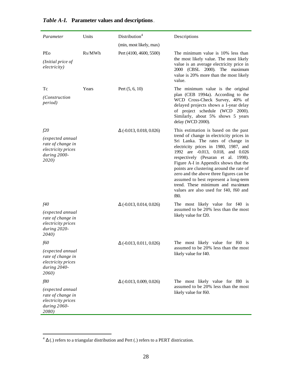| Parameter                                                                                           | Units  | Distribution <sup>4</sup>       | Descriptions                                                                                                                                                                                                                                                                                                                                                                                                                                                                                             |
|-----------------------------------------------------------------------------------------------------|--------|---------------------------------|----------------------------------------------------------------------------------------------------------------------------------------------------------------------------------------------------------------------------------------------------------------------------------------------------------------------------------------------------------------------------------------------------------------------------------------------------------------------------------------------------------|
|                                                                                                     |        | (min, most likely, max)         |                                                                                                                                                                                                                                                                                                                                                                                                                                                                                                          |
| PEo<br>(Initial price of<br>electricity)                                                            | Rs/MWh | Pert (4100, 4600, 5500)         | The minimum value is 10% less than<br>the most likely value. The most likely<br>value is an average electricity price in<br>2000 (CBSL 2000). The maximum<br>value is 20% more than the most likely<br>value.                                                                                                                                                                                                                                                                                            |
| Тc                                                                                                  | Years  | Pert $(5, 6, 10)$               | The minimum value is the original                                                                                                                                                                                                                                                                                                                                                                                                                                                                        |
| (Construction<br><i>period</i> )                                                                    |        |                                 | plan (CEB 1994a). According to the<br>WCD Cross-Check Survey, 40% of<br>delayed projects shows a 1-year delay<br>of project schedule (WCD 2000).<br>Similarly, about 5% shows 5 years<br>delay (WCD 2000).                                                                                                                                                                                                                                                                                               |
| f20<br>(expected annual<br>rate of change in<br>electricity prices<br>during 2000-<br>2020)         |        | $\Delta$ (-0.013, 0.018, 0.026) | This estimation is based on the past<br>trend of change in electricity prices in<br>Sri Lanka. The rates of change in<br>electricity prices in 1980, 1987, and<br>1992 are -0.013, 0.018, and 0.026<br>respectively (Pesaran et al. 1998).<br>Figure A-I in Appendix shows that the<br>points are clustering around the rate of<br>zero and the above three figures can be<br>assumed to best represent a long-term<br>trend. These minimum and maximum<br>values are also used for f40, f60 and<br>f80. |
| f40<br>(expected annual<br>rate of change in<br>electricity prices<br>during 2020-<br><b>2040</b> ) |        | $\Delta$ (-0.013, 0.014, 0.026) | The most likely value for f40 is<br>assumed to be 20% less than the most<br>likely value for f20.                                                                                                                                                                                                                                                                                                                                                                                                        |
| f60                                                                                                 |        | $\Delta$ (-0.013, 0.011, 0.026) | The most likely value for f60 is                                                                                                                                                                                                                                                                                                                                                                                                                                                                         |
| (expected annual<br>rate of change in<br>electricity prices<br>during 2040-<br>2060)                |        |                                 | assumed to be 20% less than the most<br>likely value for f40.                                                                                                                                                                                                                                                                                                                                                                                                                                            |
| f80                                                                                                 |        | $\Delta$ (-0.013, 0.009, 0.026) | The most likely value for f80 is                                                                                                                                                                                                                                                                                                                                                                                                                                                                         |
| (expected annual<br>rate of change in<br>electricity prices<br>during 2060-<br><b>2080</b> )        |        |                                 | assumed to be 20% less than the most<br>likely value for f60.                                                                                                                                                                                                                                                                                                                                                                                                                                            |

## *Table A-I.* **Parameter values and descriptions**.

 $\frac{4}{4}$   $\Delta$  (.) refers to a triangular distribution and Pert (.) refers to a PERT districution.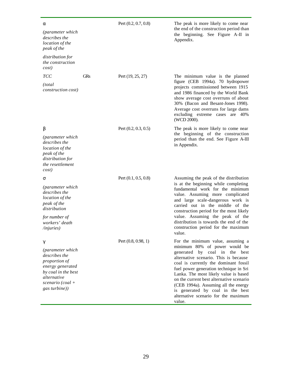| a<br>(parameter which<br>describes the<br>location of the<br>peak of the<br>distribution for<br>the construction<br>cost)                              |            | Pert $(0.2, 0.7, 0.8)$ | The peak is more likely to come near<br>the end of the construction period than<br>the beginning. See Figure A-II in<br>Appendix.                                                                                                                                                                                                                                                                                                                     |
|--------------------------------------------------------------------------------------------------------------------------------------------------------|------------|------------------------|-------------------------------------------------------------------------------------------------------------------------------------------------------------------------------------------------------------------------------------------------------------------------------------------------------------------------------------------------------------------------------------------------------------------------------------------------------|
| <b>TCC</b><br>(total<br>construction cost)                                                                                                             | <b>GRs</b> | Pert (19, 25, 27)      | The minimum value is the planned<br>figure (CEB 1994a). 70 hydropower<br>projects commissioned between 1915<br>and 1986 financed by the World Bank<br>show average cost overruns of about<br>30% (Bacon and Besant-Jones 1998).<br>Average cost overruns for large dams<br>excluding extreme cases are 40%<br>(WCD 2000).                                                                                                                             |
| b<br><i>(parameter which)</i><br>describes the<br>location of the<br>peak of the<br>distribution for<br>the resettlement<br>cost)                      |            | Pert $(0.2, 0.3, 0.5)$ | The peak is more likely to come near<br>the beginning of the construction<br>period than the end. See Figure A-III<br>in Appendix.                                                                                                                                                                                                                                                                                                                    |
| S<br>(parameter which<br>describes the<br>location of the<br>peak of the<br>distribution<br>for number of<br>workers' death<br>/injuries)              |            | Pert $(0.1, 0.5, 0.8)$ | Assuming the peak of the distribution<br>is at the beginning while completing<br>fundamental work for the minimum<br>value. Assuming more complicated<br>and large scale-dangerous work is<br>carried out in the middle of the<br>construction period for the most likely<br>value. Assuming the peak of the<br>distribution is towards the end of the<br>construction period for the maximum<br>value.                                               |
| g<br>(parameter which<br>describes the<br>proportion of<br>energy generated<br>by coal in the best<br>alternative<br>scenario (coal +<br>gas turbine)) |            | Pert $(0.8, 0.98, 1)$  | For the minimum value, assuming a<br>minimum 80% of power would be<br>generated by coal in<br>the best<br>alternative scenario. This is because<br>coal is currently the dominant fossil<br>fuel power generation technique in Sri<br>Lanka. The most likely value is based<br>on the current best alternative scenario<br>(CEB 1994a). Assuming all the energy<br>is generated by coal in the best<br>alternative scenario for the maximum<br>value. |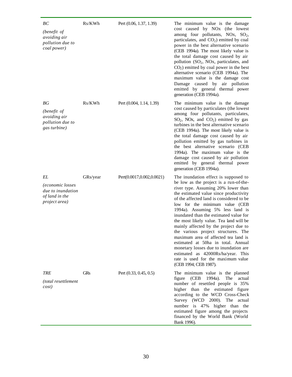| BC<br>(benefit of<br>avoiding air<br>pollution due to<br>coal power)                    | Rs/KWh     | Pert (0.06, 1.37, 1.39)   | The minimum value is the damage<br>cost caused by NO <sub>x</sub> (the lowest<br>among four pollutants, NOx, $SO_2$ ,<br>particulates, and CO <sub>2</sub> ) emitted by coal<br>power in the best alternative scenario<br>(CEB 1994a). The most likely value is<br>the total damage cost caused by air<br>pollution (SO <sub>2</sub> , NO <sub>x</sub> , particulates, and<br>$CO2$ ) emitted by coal power in the best<br>alternative scenario (CEB 1994a). The<br>maximum value is the damage cost<br>Damage caused by air pollution<br>emitted by general thermal power<br>generation (CEB 1994a).                                                                              |
|-----------------------------------------------------------------------------------------|------------|---------------------------|------------------------------------------------------------------------------------------------------------------------------------------------------------------------------------------------------------------------------------------------------------------------------------------------------------------------------------------------------------------------------------------------------------------------------------------------------------------------------------------------------------------------------------------------------------------------------------------------------------------------------------------------------------------------------------|
| ВG<br>(benefit of<br>avoiding air<br>pollution due to<br>gas turbine)                   | Rs/KWh     | Pert (0.004, 1.14, 1.39)  | The minimum value is the damage<br>cost caused by particulates (the lowest<br>among four pollutants, particulates,<br>$SO_2$ , NOx, and $CO_2$ ) emitted by gas<br>turbines in the best alternative scenario<br>(CEB 1994a). The most likely value is<br>the total damage cost caused by air<br>pollution emitted by gas turbines in<br>the best alternative scenario (CEB<br>1994a). The maximum value is the<br>damage cost caused by air pollution<br>emitted by general thermal power<br>generation (CEB 1994a).                                                                                                                                                               |
| EL<br><i>(economic losses</i> )<br>due to inundation<br>of land in the<br>project area) | GRs/year   | Pert(0.0017,0.002,0.0021) | The inundation effect is supposed to<br>be low as the project is a run-of-the-<br>river type. Assuming 20% lower than<br>the estimated value since productivity<br>of the affected land is considered to be<br>low for the minimum value (CEB<br>1994a). Assuming 5% less land is<br>inundated than the estimated value for<br>the most likely value. Tea land will be<br>mainly affected by the project due to<br>the various project structures. The<br>maximum area of affected tea land is<br>estimated at 50ha in total. Annual<br>monetary losses due to inundation are<br>estimated as 42000Rs/ha/year. This<br>rate is used for the maximum value<br>(CEB 1994; CEB 1987). |
| TRE<br>(total resettlement<br>cost)                                                     | <b>GRs</b> | Pert (0.33, 0.45, 0.5)    | The minimum value is the planned<br>1994a).<br>The<br>figure<br>(CEB)<br>actual<br>number of resettled people is 35%<br>higher than the estimated figure<br>according to the WCD Cross-Check<br>Survey (WCD 2000). The actual<br>number is 47% higher than the<br>estimated figure among the projects<br>financed by the World Bank (World<br>Bank 1996).                                                                                                                                                                                                                                                                                                                          |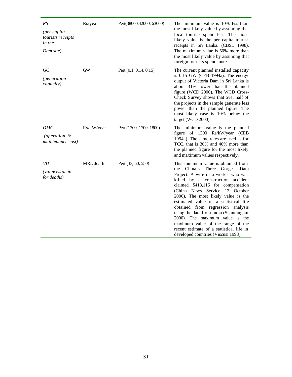| RS<br>(per capita<br>tourists receipts<br>in the<br>Dam site) | Rs/year    | Pert(38000,42000, 63000) | The minimum value is 10% ess than<br>the most likely value by assuming that<br>local tourists spend less. The most<br>likely value is the per capita tourist<br>receipts in Sri Lanka. (CBSL 1998).<br>The maximum value is 50% more than<br>the most likely value by assuming that<br>foreign tourists spend more.                                                                                                                                                                                                                                   |
|---------------------------------------------------------------|------------|--------------------------|-------------------------------------------------------------------------------------------------------------------------------------------------------------------------------------------------------------------------------------------------------------------------------------------------------------------------------------------------------------------------------------------------------------------------------------------------------------------------------------------------------------------------------------------------------|
| GC<br><i>(generation</i><br>capacity)                         | GW         | Pert (0.1, 0.14, 0.15)   | The current planned installed capacity<br>is 0.15 GW (CEB 1994a). The energy<br>output of Victoria Dam in Sri Lanka is<br>about 31% lower than the planned<br>figure (WCD 2000). The WCD Cross-<br>Check Survey shows that over half of<br>the projects in the sample generate less<br>power than the planned figure. The<br>most likely case is 10% below the<br>target (WCD 2000).                                                                                                                                                                  |
| ОМС<br>(operation &<br>maintenance cost)                      | Rs/kW/year | Pert (1300, 1700, 1800)  | The minimum value is the planned<br>figure of 1300 Rs/kW/year (CEB<br>1994a). The same rates are used as for<br>TCC, that is 30% and 40% more than<br>the planned figure for the most likely<br>and maximum values respectively.                                                                                                                                                                                                                                                                                                                      |
| <b>VD</b><br><i>(value estimate)</i><br>for deaths)           | MRs/death  | Pert (33, 60, 550)       | This minimum value is obtained from<br>China's<br>Three Gorges Dam<br>the<br>Project. A wife of a worker who was<br>killed by a construction accident<br>claimed \$418,116 for compensation<br>(China News Service 13 October<br>2000). The most likely value is the<br>estimated value of a statistical life<br>obtained from regression analysis<br>using the data from India (Shanmugam<br>2000). The maximum value is the<br>maximum value of the range of the<br>recent estimate of a statistical life in<br>developed countries (Viscusi 1993). |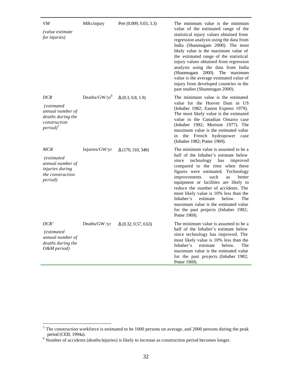| VM<br><i>(value estimate)</i><br>for injuries)                                                                 | MRs/injury        | Pert (0.009, 0.03, 3.3)     | The minimum value is the minimum<br>value of the estimated range of the<br>statistical injury values obtained from<br>regression analysis using the data from<br>India (Shanmugam 2000). The most<br>likely value is the maximum value of<br>the estimated range of the statistical<br>injury values obtained from regression<br>analysis using the data from India<br>(Shanmugam 2000).<br>The maximum<br>value is the average estimated value of<br>injury from developed countries in the<br>past studies (Shanmugan 2000). |
|----------------------------------------------------------------------------------------------------------------|-------------------|-----------------------------|--------------------------------------------------------------------------------------------------------------------------------------------------------------------------------------------------------------------------------------------------------------------------------------------------------------------------------------------------------------------------------------------------------------------------------------------------------------------------------------------------------------------------------|
| DCR<br>(estimated<br>annual number of<br>deaths during the<br>construction<br>$period)^5$                      | Deaths/ $GW/yr^6$ | $\Delta$ (0.3, 0.8, 1.9)    | The minimum value is the estimated<br>value for the Hoover Dam in US<br>(Inhaber 1982; Easton Express 1979).<br>The most likely value is the estimated<br>value in the Canadian Ontario case<br>(Inhaber 1982; Morison 1977). The<br>maximum value is the estimated value<br>the<br>French hydropower<br>in<br>case<br>(Inhaber 1982; Potier 1969).                                                                                                                                                                            |
| <b>MCR</b><br><i>(estimated)</i><br>annual number of<br>injuries during<br>the construction<br><i>period</i> ) | Injuries/GW/yr    | $\Delta(170, 310, 340)$     | The minimum value is assumed to be a<br>half of the Inhaber's estimate below<br>technology has<br>since<br>improved<br>compared to the time when these<br>figures were estimated. Technology<br>improvements<br>such<br>as<br>better<br>equipment or facilities are likely to<br>reduce the number of accidents. The<br>most likely value is 10% less than the<br>estimate<br>Inhaber's<br>below.<br>The<br>maximum value is the estimated value<br>for the past projects (Inhaber 1982;<br>Potier 1969).                      |
| DCR'<br><i>(estimated)</i><br>annual number of<br>deaths during the<br>O&M period)                             | Deaths/GW/yr      | $\Delta$ (0.32, 0.57, 0.63) | The minimum value is assumed to be a<br>half of the Inhaber's estimate below<br>since technology has improved. The<br>most likely value is 10% less than the<br>estimate<br>Inhaber's<br>below.<br>The<br>maximum value is the estimated value<br>for the past projects (Inhaber 1982;<br>Potier 1969).                                                                                                                                                                                                                        |

<sup>&</sup>lt;sup>5</sup> The construction workforce is estimated to be 1000 persons on average, and 2000 persons during the peak period (CEB, 1994a).<br><sup>6</sup> Number of accidents (deaths/injuries) is likely to increase as construction period becomes longer.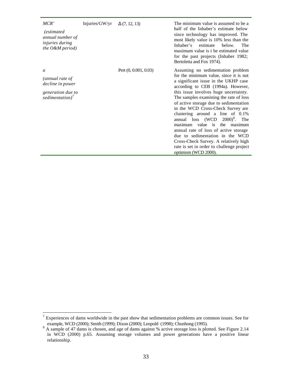| MCR'<br><i>(estimated)</i><br>annual number of<br><i>injuries during</i><br>the $O\&M$ period) | Injuries/GW/yr | $\Delta$ (7, 12, 13)    | The minimum value is assumed to be a<br>half of the Inhaber's estimate below<br>since technology has improved. The<br>most likely value is 10% less than the<br>Inhaber's<br>estimate<br>below.<br>The<br>maximum value is t he estimated value<br>for the past projects (Inhaber 1982;<br>Bertoletta and Fox 1974).                                                                                                                                                                                                                                                                                                          |
|------------------------------------------------------------------------------------------------|----------------|-------------------------|-------------------------------------------------------------------------------------------------------------------------------------------------------------------------------------------------------------------------------------------------------------------------------------------------------------------------------------------------------------------------------------------------------------------------------------------------------------------------------------------------------------------------------------------------------------------------------------------------------------------------------|
| a<br>(annual rate of<br>decline in power<br>generation due to<br>sedimentation) <sup>7</sup>   |                | Pert $(0, 0.001, 0.03)$ | Assuming no sedimentation problem<br>for the minimum value, since it is not<br>a significant issue in the UKHP case<br>according to CEB (1994a). However,<br>this issue involves huge uncertainty.<br>The samples examining the rate of loss<br>of active storage due to sedimentation<br>in the WCD Cross-Check Survey are<br>clustering around a line of 0.1%<br>annual loss $(WCD 2000)^8$ . The<br>maximum value is the maximum<br>annual rate of loss of active storage<br>due to sedimentation in the WCD<br>Cross-Check Survey. A relatively high<br>rate is set in order to challenge project<br>optimism (WCD 2000). |

<sup>&</sup>lt;sup>7</sup> Experiences of dams worldwide in the past show that sedimentation problems are common issues. See for

example, WCD (2000); Smith (1999); Dixon (2000); Leopold (1998); Chunhong (1995).<br><sup>8</sup> A sample of 47 dams is chosen, and age of dams against % active storage loss is plotted. See Figure 2.14 in WCD (2000) p.65. Assuming storage volumes and power generations have a positive linear relationship.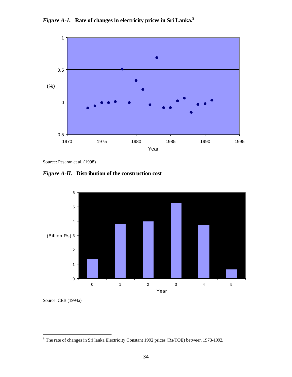



Source: Pesaran et al. (1998)

*Figure A-II.* **Distribution of the construction cost**.



Source: CEB (1994a)

<sup>&</sup>lt;sup>9</sup> The rate of changes in Sri lanka Electricity Constant 1992 prices (Rs/TOE) between 1973-1992.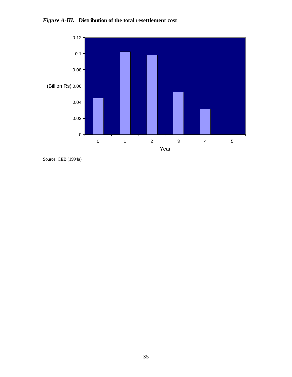



Source: CEB (1994a)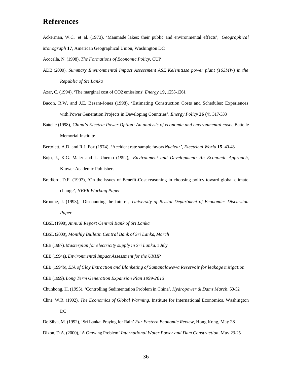## **References**

- Ackerman, W.C. et al. (1973), 'Manmade lakes: their public and environmental effects', *Geographical*
- *Monograph* **17**, American Geographical Union, Washington DC

Acocella, N. (1998), *The Formations of Economic Policy,* CUP

ADB (2000), *Summary Environmental Impact Assessment ASE Kelenitissa power plant (163MW) in the Republic of Sri Lanka*

Azar, C. (1994), 'The marginal cost of CO2 emissions' *Energy* **19**, 1255-1261

- Bacon, R.W. and J.E. Besant-Jones (1998), 'Estimating Construction Costs and Schedules: Experiences with Power Generation Projects in Developing Countries', *Energy Policy* **26** (4), 317-333
- Battelle (1998), *China's Electric Power Option: An analysis of economic and environmental costs*, Battelle Memorial Institute
- Bertolett, A.D. and R.J. Fox (1974), 'Accident rate sample favors *Nuclear', Electrical World* **15**, 40-43
- Bojo, J., K.G. Maler and L. Unemo (1992), *Environment and Development: An Economic Approach*, Kluwer Academic Publishers
- Bradford, D.F. (1997), 'On the issues of Benefit-Cost reasoning in choosing policy toward global climate change', *NBER Working Paper*
- Broome, J. (1993), 'Discounting the future', *University of Bristol Department of Economics Discussion Paper*
- CBSL (1998), *Annual Report Central Bank of Sri Lanka*
- CBSL (2000), *Monthly Bulletin Central Bank of Sri Lanka*, *March*
- CEB (1987), *Masterplan for electricity supply in Sri Lanka*, 1 July
- CEB (1994a), *Environmental Impact Assessment for the UKHP*

CEB (1994b), *EIA of Clay Extraction and Blanketing of Samanalawewa Reservoir for leakage mitigation*

- CEB (1999), *Long Term Generation Expansion Plan 1999-2013*
- Chunhong, H. (1995), 'Controlling Sedimentation Problem in China', *Hydropower & Dams March*, 50-52
- Cline, W.R. (1992), *The Economics of Global Warming*, Institute for International Economics, Washington DC

De Silva, M. (1992), 'Sri Lanka: Praying for Rain' *Far Eastern Economic Review*, Hong Kong, May 28 Dixon, D.A. (2000), 'A Growing Problem' *International Water Power and Dam Construction*, May 23-25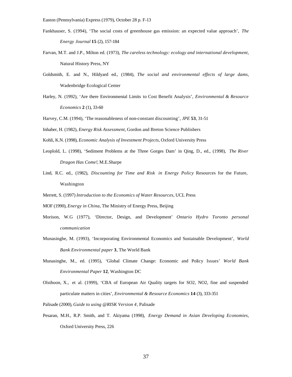- Fankhauser, S. (1994), 'The social costs of greenhouse gas emission: an expected value approach', *The Energy Journal* **15** (2), 157-184
- Farvan, M.T. and J.P., Milton ed. (1973), *The careless technology: ecology and international development*, Natural History Press, NY
- Goldsmith, E. and N., Hildyard ed., (1984), *The social and environmental effects of large dams*, Wadenbridge Ecological Center
- Harley, N. (1992), 'Are there Environmental Limits to Cost Benefit Analysis', *Environmental & Resource Economics* **2** (1), 33-60
- Harvey, C.M. (1994), 'The reasonableness of non-constant discounting', *JPE* **53**, 31-51
- Inhaber, H. (1982), *Energy Risk Assessment*, Gordon and Breton Science Publishers
- Kohli, K.N. (1998), *Economic Analysis of Investment Projects*, Oxford University Press
- Leoplold, L. (1998), 'Sediment Problems at the Three Gorges Dam' in Qing, D., ed., (1998), *The River Dragon Has Come!,* M.E.Sharpe
- Lind, R.C. ed., (1982), *Discounting for Time and Risk in Energy Policy* Resources for the Future, Washington
- Merrett, S. (1997) *Introduction to the Economics of Water Resources*, UCL Press
- MOF (1990), *Energy in China*, The Ministry of Energy Press, Beijing
- Morison, W.G (1977), 'Director, Design, and Development' *Ontario Hydro Toronto personal communication*
- Munasinghe, M. (1993), 'Incorporating Environmental Economics and Sustainable Development', *World Bank Environmental paper* **3**, The World Bank
- Munasinghe, M., ed. (1995), 'Global Climate Change: Economic and Policy Issues' *World Bank Environmental Paper* **12**, Washington DC
- Olsthoon, X., et al. (1999), 'CBA of European Air Quality targets for SO2, NO2, fine and suspended particulate matters in cities', *Environmental & Resource Economics* **14** (3), 333-351
- Palisade (2000), *Guide to using @RISK Version 4*, Palisade
- Pesaran, M.H., R.P. Smith, and T. Akiyama (1998), *Energy Demand in Asian Developing Economies*, Oxford University Press, 226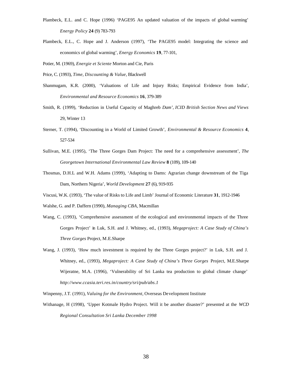- Plambeck, E.L. and C. Hope (1996) 'PAGE95 An updated valuation of the impacts of global warming' *Energy Policy* **24** (9) 783-793
- Plambeck, E.L., C. Hope and J. Anderson (1997), 'The PAGE95 model: Integrating the science and economics of global warming', *Energy Economics* **19**, 77-101,

Potier, M. (1969), *Energie et Sciente* Morton and Cie, Paris

- Price, C. (1993), *Time, Discounting & Value*, Blackwell
- Shanmugam, K.R. (2000), 'Valuations of Life and Injury Risks; Empirical Evidence from India', *Environmental and Resource Economics* **16**, 379-389
- Smith, R. (1999), 'Reduction in Useful Capacity of Maghreb *Dam'*, *ICID British Section News and Views*  29, Winter 13
- Sterner, T. (1994), 'Discounting in a World of Limited Growth', *Environmental & Resource Economics* **4**, 527-534
- Sullivan, M.E. (1995), 'The Three Gorges Dam Project: The need for a comprehensive assessment', *The Georgetown International Environmental Law Review* **8** (109), 109-140
- Thosmas, D.H.L and W.H. Adams (1999), 'Adapting to Dams: Agrarian change downstream of the Tiga Dam, Northern Nigeria', *World Development* **27** (6), 919-935
- Viscusi, W.K. (1993), 'The value of Risks to Life and Limb' Journal of Economic Literature **31**, 1912-1946
- Walshe, G. and P. Daffern (1990), *Managing CBA*, Macmillan
- Wang, C. (1993), 'Comprehensive assessment of the ecological and environmental impacts of the Three Gorges Project' in Luk, S.H. and J. Whitney, ed., (1993), *Megaproject: A Case Study of China's Three Gorges* Project, M.E.Sharpe
- Wang, J. (1993), 'How much investment is required by the Three Gorges project?' in Luk, S.H. and J. Whitney, ed., (1993), *Megaproject: A Case Study of China's Three Gorges* Project, M.E.Sharpe Wijeratne, M.A. (1996), 'Vulnerability of Sri Lanka tea production to global climate change' *http://www.ccasia.teri.res.in/country/sri/pub/abs.1*
- Winpenny, J.T. (1991), *Valuing for the Environment*, Overseas Development Institute
- Withanage, H (1998), 'Upper Kotmale Hydro Project. Will it be another disaster?' presented at the *WCD Regional Consultation Sri Lanka December 1998*